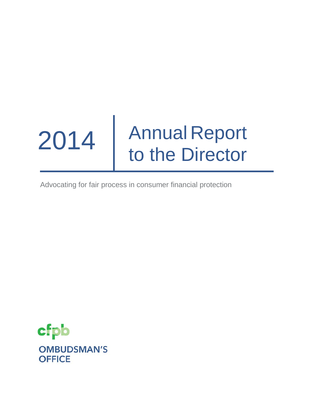2014

# Annual Report to the Director

Advocating for fair process in consumer financial protection

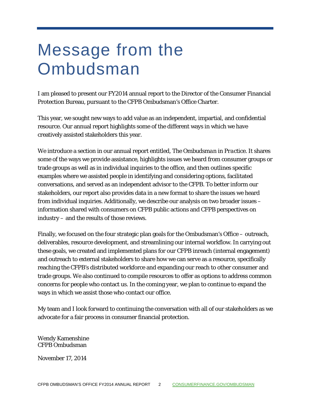## Message from the **Ombudsman**

I am pleased to present our FY2014 annual report to the Director of the Consumer Financial Protection Bureau, pursuant to the CFPB Ombudsman's Office Charter.

This year, we sought new ways to add value as an independent, impartial, and confidential resource. Our annual report highlights some of the different ways in which we have creatively assisted stakeholders this year.

We introduce a section in our annual report entitled, *The Ombudsman in Practice*. It shares some of the ways we provide assistance, highlights issues we heard from consumer groups or trade groups as well as in individual inquiries to the office, and then outlines specific examples where we assisted people in identifying and considering options, facilitated conversations, and served as an independent advisor to the CFPB. To better inform our stakeholders, our report also provides data in a new format to share the issues we heard from individual inquiries. Additionally, we describe our analysis on two broader issues – information shared with consumers on CFPB public actions and CFPB perspectives on industry – and the results of those reviews.

Finally, we focused on the four strategic plan goals for the Ombudsman's Office – outreach, deliverables, resource development, and streamlining our internal workflow. In carrying out these goals, we created and implemented plans for our CFPB inreach (internal engagement) and outreach to external stakeholders to share how we can serve as a resource, specifically reaching the CFPB's distributed workforce and expanding our reach to other consumer and trade groups. We also continued to compile resources to offer as options to address common concerns for people who contact us. In the coming year, we plan to continue to expand the ways in which we assist those who contact our office.

My team and I look forward to continuing the conversation with all of our stakeholders as we advocate for a fair process in consumer financial protection.

Wendy Kamenshine CFPB Ombudsman

November 17, 2014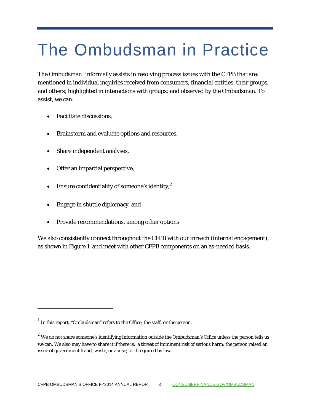## The Ombudsman in Practice

The Ombudsman<sup>[1](#page-2-0)</sup> informally assists in resolving process issues with the CFPB that are: mentioned in individual inquiries received from consumers, financial entities, their groups, and others; highlighted in interactions with groups; and observed by the Ombudsman. To assist, we can:

- Facilitate discussions.
- Brainstorm and evaluate options and resources,
- Share independent analyses,
- Offer an impartial perspective,
- Ensure confidentiality of someone's identity, $^2$  $^2$
- Engage in shuttle diplomacy, and

1

• Provide recommendations, among other options

We also consistently connect throughout the CFPB with our inreach (internal engagement), as shown in Figure 1, and meet with other CFPB components on an as-needed basis.

<span id="page-2-0"></span> $1$  In this report, "Ombudsman" refers to the Office, the staff, or the person.

<span id="page-2-1"></span> $2$  We do not share someone's identifying information outside the Ombudsman's Office unless the person tells us we can. We also may have to share it if there is: a threat of imminent risk of serious harm; the person raised an issue of government fraud, waste, or abuse; or if required by law.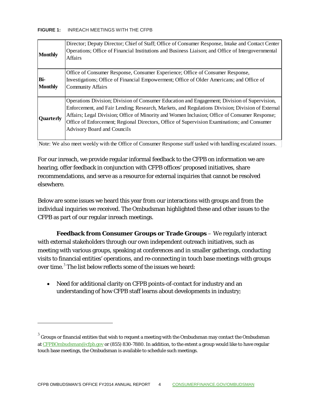| <b>Monthly</b>        | Director; Deputy Director; Chief of Staff; Office of Consumer Response, Intake and Contact Center<br>Operations; Office of Financial Institutions and Business Liaison; and Office of Intergovernmental<br>Affairs                                                                                                                                                                                                                     |
|-----------------------|----------------------------------------------------------------------------------------------------------------------------------------------------------------------------------------------------------------------------------------------------------------------------------------------------------------------------------------------------------------------------------------------------------------------------------------|
| Bi-<br><b>Monthly</b> | Office of Consumer Response, Consumer Experience; Office of Consumer Response,<br>Investigations; Office of Financial Empowerment; Office of Older Americans; and Office of<br><b>Community Affairs</b>                                                                                                                                                                                                                                |
| Quarterly             | Operations Division; Division of Consumer Education and Engagement; Division of Supervision,<br>Enforcement, and Fair Lending; Research, Markets, and Regulations Division; Division of External<br>Affairs; Legal Division; Office of Minority and Women Inclusion; Office of Consumer Response;<br>Office of Enforcement; Regional Directors, Office of Supervision Examinations; and Consumer<br><b>Advisory Board and Councils</b> |
|                       | Note: We also meet weekly with the Office of Consumer Response staff tasked with handling escalated issues.                                                                                                                                                                                                                                                                                                                            |

For our inreach, we provide regular informal feedback to the CFPB on information we are hearing, offer feedback in conjunction with CFPB offices' proposed initiatives, share recommendations, and serve as a resource for external inquiries that cannot be resolved elsewhere.

Below are some issues we heard this year from our interactions with groups and from the individual inquiries we received. The Ombudsman highlighted these and other issues to the CFPB as part of our regular inreach meetings.

**Feedback from Consumer Groups or Trade Groups** – We regularly interact with external stakeholders through our own independent outreach initiatives, such as meeting with various groups, speaking at conferences and in smaller gatherings, conducting visits to financial entities' operations, and re-connecting in touch base meetings with groups over time.<sup>[3](#page-3-0)</sup> The list below reflects some of the issues we heard:

• Need for additional clarity on CFPB points-of-contact for industry and an understanding of how CFPB staff learns about developments in industry;

1

<span id="page-3-0"></span> $^3$  Groups or financial entities that wish to request a meeting with the Ombudsman may contact the Ombudsman at [CFPBOmbudsman@cfpb.gov](mailto:CFPBOmbudsman@cfpb.gov) or (855) 830-7880. In addition, to the extent a group would like to have regular touch base meetings, the Ombudsman is available to schedule such meetings.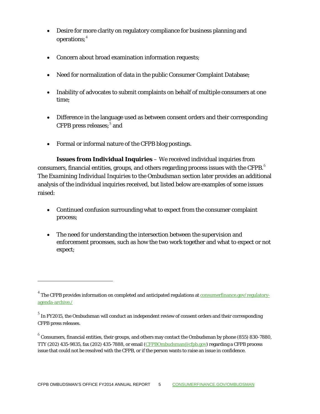- Desire for more clarity on regulatory compliance for business planning and operations;<sup>[4](#page-4-0)</sup>
- Concern about broad examination information requests;
- Need for normalization of data in the public Consumer Complaint Database;
- Inability of advocates to submit complaints on behalf of multiple consumers at one time;
- Difference in the language used as between consent orders and their corresponding CFPB press releases; $5$  and
- Formal or informal nature of the CFPB blog postings.

 $\overline{a}$ 

**Issues from Individual Inquiries** – We received individual inquiries from consumers, financial entities, groups, and others regarding process issues with the CFPB.<sup>[6](#page-4-2)</sup> The *Examining Individual Inquiries to the Ombudsman* section later provides an additional analysis of the individual inquiries received, but listed below are examples of some issues raised:

- Continued confusion surrounding what to expect from the consumer complaint process;
- The need for understanding the intersection between the supervision and enforcement processes, such as how the two work together and what to expect or not expect;

<span id="page-4-0"></span> $^{4}$  The CFPB provides information on completed and anticipated regulations at [consumerfinance.gov/regulatory](http://www.consumerfinance.gov/regulatory-agenda-archive./)[agenda-archive./](http://www.consumerfinance.gov/regulatory-agenda-archive./)

<span id="page-4-1"></span> $5$  In FY2015, the Ombudsman will conduct an independent review of consent orders and their corresponding CFPB press releases.

<span id="page-4-2"></span> $^6$  Consumers, financial entities, their groups, and others may contact the Ombudsman by phone (855) 830-7880, TTY (202) 435-9835, fax (202) 435-7888, or email [\(CFPBOmbudsman@cfpb.gov\)](mailto:CFPBOmbudsman@cfpb.gov) regarding a CFPB process issue that could not be resolved with the CFPB, or if the person wants to raise an issue in confidence.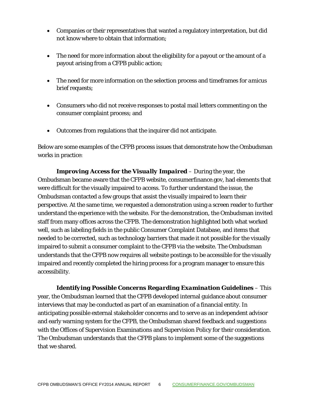- Companies or their representatives that wanted a regulatory interpretation, but did not know where to obtain that information;
- The need for more information about the eligibility for a payout or the amount of a payout arising from a CFPB public action;
- The need for more information on the selection process and timeframes for *amicus* brief requests;
- Consumers who did not receive responses to postal mail letters commenting on the consumer complaint process; and
- Outcomes from regulations that the inquirer did not anticipate.

Below are some examples of the CFPB process issues that demonstrate how the Ombudsman works in practice:

*Improving Access for the Visually Impaired* – During the year, the Ombudsman became aware that the CFPB website, consumerfinance.gov, had elements that were difficult for the visually impaired to access. To further understand the issue, the Ombudsman contacted a few groups that assist the visually impaired to learn their perspective. At the same time, we requested a demonstration using a screen reader to further understand the experience with the website. For the demonstration, the Ombudsman invited staff from many offices across the CFPB. The demonstration highlighted both what worked well, such as labeling fields in the public Consumer Complaint Database, and items that needed to be corrected, such as technology barriers that made it not possible for the visually impaired to submit a consumer complaint to the CFPB via the website. The Ombudsman understands that the CFPB now requires all website postings to be accessible for the visually impaired and recently completed the hiring process for a program manager to ensure this accessibility.

*Identifying Possible Concerns Regarding Examination Guidelines* – This year, the Ombudsman learned that the CFPB developed internal guidance about consumer interviews that may be conducted as part of an examination of a financial entity. In anticipating possible external stakeholder concerns and to serve as an independent advisor and early warning system for the CFPB, the Ombudsman shared feedback and suggestions with the Offices of Supervision Examinations and Supervision Policy for their consideration. The Ombudsman understands that the CFPB plans to implement some of the suggestions that we shared.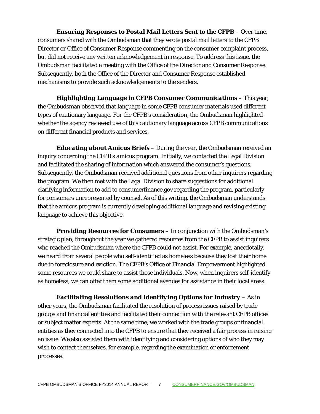*Ensuring Responses to Postal Mail Letters Sent to the CFPB* – Over time, consumers shared with the Ombudsman that they wrote postal mail letters to the CFPB Director or Office of Consumer Response commenting on the consumer complaint process, but did not receive any written acknowledgement in response. To address this issue, the Ombudsman facilitated a meeting with the Office of the Director and Consumer Response. Subsequently, both the Office of the Director and Consumer Response established mechanisms to provide such acknowledgements to the senders.

*Highlighting Language in CFPB Consumer Communications* – This year, the Ombudsman observed that language in some CFPB consumer materials used different types of cautionary language. For the CFPB's consideration, the Ombudsman highlighted whether the agency reviewed use of this cautionary language across CFPB communications on different financial products and services.

*Educating about Amicus Briefs* – During the year, the Ombudsman received an inquiry concerning the CFPB's *amicus* program. Initially, we contacted the Legal Division and facilitated the sharing of information which answered the consumer's questions. Subsequently, the Ombudsman received additional questions from other inquirers regarding the program. We then met with the Legal Division to share suggestions for additional clarifying information to add to consumerfinance.gov regarding the program, particularly for consumers unrepresented by counsel. As of this writing, the Ombudsman understands that the *amicus* program is currently developing additional language and revising existing language to achieve this objective.

*Providing Resources for Consumers* – In conjunction with the Ombudsman's strategic plan, throughout the year we gathered resources from the CFPB to assist inquirers who reached the Ombudsman where the CFPB could not assist. For example, anecdotally, we heard from several people who self-identified as homeless because they lost their home due to foreclosure and eviction. The CFPB's Office of Financial Empowerment highlighted some resources we could share to assist those individuals. Now, when inquirers self-identify as homeless, we can offer them some additional avenues for assistance in their local areas.

*Facilitating Resolutions and Identifying Options for Industry* – As in other years, the Ombudsman facilitated the resolution of process issues raised by trade groups and financial entities and facilitated their connection with the relevant CFPB offices or subject matter experts. At the same time, we worked with the trade groups or financial entities as they connected into the CFPB to ensure that they received a fair process in raising an issue. We also assisted them with identifying and considering options of who they may wish to contact themselves, for example, regarding the examination or enforcement processes.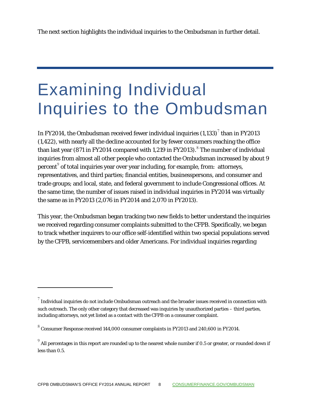## Examining Individual Inquiries to the Ombudsman

In FY2014, the Ombudsman received fewer individual inquiries  $(1,133)^{7}$  $(1,133)^{7}$  $(1,133)^{7}$  than in FY2013 (1,422), with nearly all the decline accounted for by fewer consumers reaching the office than last year ([8](#page-7-1)71 in FY2014 compared with 1,219 in FY2013).<sup>8</sup> The number of individual inquiries from almost all other people who contacted the Ombudsman increased by about 9 percent<sup>[9](#page-7-2)</sup> of total inquiries year over year including, for example, from: attorneys, representatives, and third parties; financial entities, businesspersons, and consumer and trade groups; and local, state, and federal government to include Congressional offices. At the same time, the number of issues raised in individual inquiries in FY2014 was virtually the same as in FY2013 (2,076 in FY2014 and 2,070 in FY2013).

This year, the Ombudsman began tracking two new fields to better understand the inquiries we received regarding consumer complaints submitted to the CFPB. Specifically, we began to track whether inquirers to our office self-identified within two special populations served by the CFPB, servicemembers and older Americans. For individual inquiries regarding

1

<span id="page-7-0"></span> $\frac{7}{7}$  Individual inquiries do not include Ombudsman outreach and the broader issues received in connection with such outreach. The only other category that decreased was inquiries by unauthorized parties – third parties, including attorneys, not yet listed as a contact with the CFPB on a consumer complaint.

<span id="page-7-1"></span> $8$  Consumer Response received 144,000 consumer complaints in FY2013 and 240,600 in FY2014.

<span id="page-7-2"></span> $^{9}$  All percentages in this report are rounded up to the nearest whole number if 0.5 or greater, or rounded down if less than 0.5.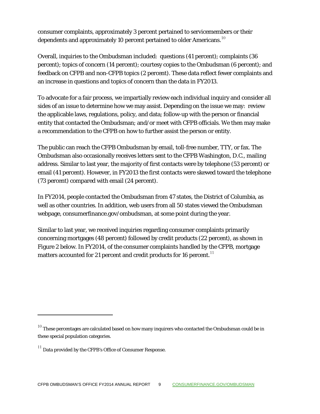consumer complaints, approximately 3 percent pertained to servicemembers or their dependents and approximately [10](#page-8-0) percent pertained to older Americans.<sup>10</sup>

Overall, inquiries to the Ombudsman included: questions (41 percent); complaints (36 percent); topics of concern (14 percent); courtesy copies to the Ombudsman (6 percent); and feedback on CFPB and non-CFPB topics (2 percent). These data reflect fewer complaints and an increase in questions and topics of concern than the data in FY2013.

To advocate for a fair process, we impartially review each individual inquiry and consider all sides of an issue to determine how we may assist. Depending on the issue we may: review the applicable laws, regulations, policy, and data; follow-up with the person or financial entity that contacted the Ombudsman; and/or meet with CFPB officials. We then may make a recommendation to the CFPB on how to further assist the person or entity.

The public can reach the CFPB Ombudsman by email, toll-free number, TTY, or fax. The Ombudsman also occasionally receives letters sent to the CFPB Washington, D.C., mailing address. Similar to last year, the majority of first contacts were by telephone (53 percent) or email (41 percent). However, in FY2013 the first contacts were skewed toward the telephone (73 percent) compared with email (24 percent).

In FY2014, people contacted the Ombudsman from 47 states, the District of Columbia, as well as other countries. In addition, web users from all 50 states viewed the Ombudsman webpage, consumerfinance.gov/ombudsman, at some point during the year.

Similar to last year, we received inquiries regarding consumer complaints primarily concerning mortgages (48 percent) followed by credit products (22 percent), as shown in Figure 2 below. In FY2014, of the consumer complaints handled by the CFPB, mortgage matters accounted for 21 percent and credit products for 16 percent.<sup>[11](#page-8-1)</sup>

1

<span id="page-8-0"></span> $^{10}$  These percentages are calculated based on how many inquirers who contacted the Ombudsman could be in these special population categories.

<span id="page-8-1"></span> $11$  Data provided by the CFPB's Office of Consumer Response.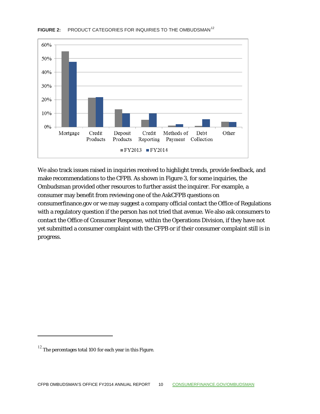

#### **FIGURE 2:** PRODUCT CATEGORIES FOR INQUIRIES TO THE OMBUDSMAN<sup>[12](#page-9-0)</sup>

We also track issues raised in inquiries received to highlight trends, provide feedback, and make recommendations to the CFPB. As shown in Figure 3, for some inquiries, the Ombudsman provided other resources to further assist the inquirer. For example, a consumer may benefit from reviewing one of the AskCFPB questions on consumerfinance.gov or we may suggest a company official contact the Office of Regulations with a regulatory question if the person has not tried that avenue. We also ask consumers to contact the Office of Consumer Response, within the Operations Division, if they have not yet submitted a consumer complaint with the CFPB or if their consumer complaint still is in progress.

<span id="page-9-0"></span> $^{\rm 12}$  The percentages total 100 for each year in this Figure.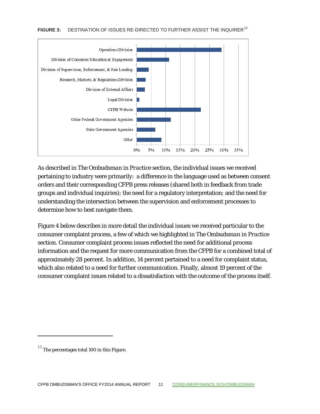

**FIGURE 3:** DESTINATION OF ISSUES RE-DIRECTED TO FURTHER ASSIST THE INQUIRER<sup>[13](#page-10-0)</sup>

As described in *The Ombudsman in Practice* section, the individual issues we received pertaining to industry were primarily: a difference in the language used as between consent orders and their corresponding CFPB press releases (shared both in feedback from trade groups and individual inquiries); the need for a regulatory interpretation; and the need for understanding the intersection between the supervision and enforcement processes to determine how to best navigate them.

Figure 4 below describes in more detail the individual issues we received particular to the consumer complaint process, a few of which we highlighted in *The Ombudsman in Practice* section. Consumer complaint process issues reflected the need for additional process information and the request for more communication from the CFPB for a combined total of approximately 28 percent. In addition, 14 percent pertained to a need for complaint status, which also related to a need for further communication. Finally, almost 19 percent of the consumer complaint issues related to a dissatisfaction with the outcome of the process itself.

<span id="page-10-0"></span> $13$  The percentages total 100 in this Figure.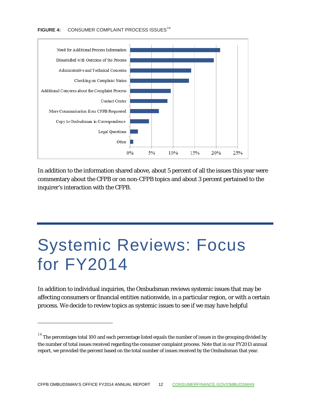



In addition to the information shared above, about 5 percent of all the issues this year were commentary about the CFPB or on non-CFPB topics and about 3 percent pertained to the inquirer's interaction with the CFPB.

## Systemic Reviews: Focus for FY2014

1

In addition to individual inquiries, the Ombudsman reviews systemic issues that may be affecting consumers or financial entities nationwide, in a particular region, or with a certain process. We decide to review topics as systemic issues to see if we may have helpful

<span id="page-11-0"></span> $^{14}$  The percentages total 100 and each percentage listed equals the number of issues in the grouping divided by the number of total issues received regarding the consumer complaint process. Note that in our FY2013 annual report, we provided the percent based on the total number of issues received by the Ombudsman that year.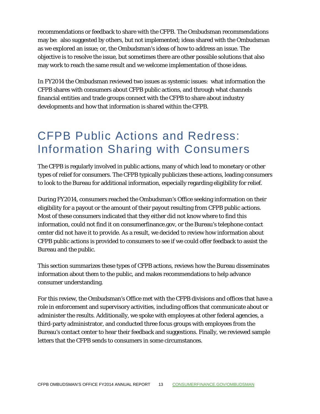recommendations or feedback to share with the CFPB. The Ombudsman recommendations may be: also suggested by others, but not implemented; ideas shared with the Ombudsman as we explored an issue; or, the Ombudsman's ideas of how to address an issue. The objective is to resolve the issue, but sometimes there are other possible solutions that also may work to reach the same result and we welcome implementation of those ideas.

In FY2014 the Ombudsman reviewed two issues as systemic issues: what information the CFPB shares with consumers about CFPB public actions, and through what channels financial entities and trade groups connect with the CFPB to share about industry developments and how that information is shared within the CFPB.

### CFPB Public Actions and Redress: Information Sharing with Consumers

The CFPB is regularly involved in public actions, many of which lead to monetary or other types of relief for consumers. The CFPB typically publicizes these actions, leading consumers to look to the Bureau for additional information, especially regarding eligibility for relief.

During FY2014, consumers reached the Ombudsman's Office seeking information on their eligibility for a payout or the amount of their payout resulting from CFPB public actions. Most of these consumers indicated that they either did not know where to find this information, could not find it on consumerfinance.gov, or the Bureau's telephone contact center did not have it to provide. As a result, we decided to review how information about CFPB public actions is provided to consumers to see if we could offer feedback to assist the Bureau and the public.

This section summarizes these types of CFPB actions, reviews how the Bureau disseminates information about them to the public, and makes recommendations to help advance consumer understanding.

For this review, the Ombudsman's Office met with the CFPB divisions and offices that have a role in enforcement and supervisory activities, including offices that communicate about or administer the results. Additionally, we spoke with employees at other federal agencies, a third-party administrator, and conducted three focus groups with employees from the Bureau's contact center to hear their feedback and suggestions. Finally, we reviewed sample letters that the CFPB sends to consumers in some circumstances.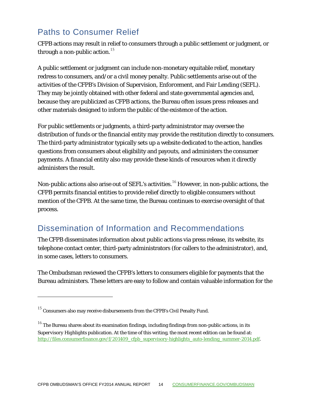### Paths to Consumer Relief

CFPB actions may result in relief to consumers through a public settlement or judgment, or through a non-public action.<sup>[15](#page-13-0)</sup>

A public settlement or judgment can include non-monetary equitable relief, monetary redress to consumers, and/or a civil money penalty. Public settlements arise out of the activities of the CFPB's Division of Supervision, Enforcement, and Fair Lending (SEFL). They may be jointly obtained with other federal and state governmental agencies and, because they are publicized as CFPB actions, the Bureau often issues press releases and other materials designed to inform the public of the existence of the action.

For public settlements or judgments, a third-party administrator may oversee the distribution of funds or the financial entity may provide the restitution directly to consumers. The third-party administrator typically sets up a website dedicated to the action, handles questions from consumers about eligibility and payouts, and administers the consumer payments. A financial entity also may provide these kinds of resources when it directly administers the result.

Non-public actions also arise out of SEFL's activities.<sup>[16](#page-13-1)</sup> However, in non-public actions, the CFPB permits financial entities to provide relief directly to eligible consumers without mention of the CFPB. At the same time, the Bureau continues to exercise oversight of that process.

#### Dissemination of Information and Recommendations

The CFPB disseminates information about public actions via press release, its website, its telephone contact center, third-party administrators (for callers to the administrator), and, in some cases, letters to consumers.

The Ombudsman reviewed the CFPB's letters to consumers eligible for payments that the Bureau administers. These letters are easy to follow and contain valuable information for the

<span id="page-13-0"></span> $15$  Consumers also may receive disbursements from the CFPB's Civil Penalty Fund.

<span id="page-13-1"></span> $^{16}$  The Bureau shares about its examination findings, including findings from non-public actions, in its *Supervisory Highlights* publication. At the time of this writing, the most recent edition can be found at: [http://files.consumerfinance.gov/f/201409\\_cfpb\\_supervisory-highlights\\_auto-lending\\_summer-2014.pdf.](http://files.consumerfinance.gov/f/201409_cfpb_supervisory-highlights_auto-lending_summer-2014.pdf)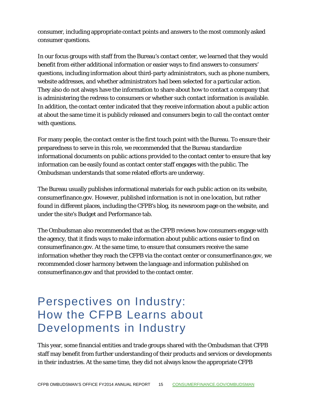consumer, including appropriate contact points and answers to the most commonly asked consumer questions.

In our focus groups with staff from the Bureau's contact center, we learned that they would benefit from either additional information or easier ways to find answers to consumers' questions, including information about third-party administrators, such as phone numbers, website addresses, and whether administrators had been selected for a particular action. They also do not always have the information to share about how to contact a company that is administering the redress to consumers or whether such contact information is available. In addition, the contact center indicated that they receive information about a public action at about the same time it is publicly released and consumers begin to call the contact center with questions.

For many people, the contact center is the first touch point with the Bureau. To ensure their preparedness to serve in this role, we recommended that the Bureau standardize informational documents on public actions provided to the contact center to ensure that key information can be easily found as contact center staff engages with the public. The Ombudsman understands that some related efforts are underway.

The Bureau usually publishes informational materials for each public action on its website, consumerfinance.gov. However, published information is not in one location, but rather found in different places, including the CFPB's blog, its newsroom page on the website, and under the site's Budget and Performance tab.

The Ombudsman also recommended that as the CFPB reviews how consumers engage with the agency, that it finds ways to make information about public actions easier to find on consumerfinance.gov. At the same time, to ensure that consumers receive the same information whether they reach the CFPB via the contact center or consumerfinance.gov, we recommended closer harmony between the language and information published on consumerfinance.gov and that provided to the contact center.

### Perspectives on Industry: How the CFPB Learns about Developments in Industry

This year, some financial entities and trade groups shared with the Ombudsman that CFPB staff may benefit from further understanding of their products and services or developments in their industries. At the same time, they did not always know the appropriate CFPB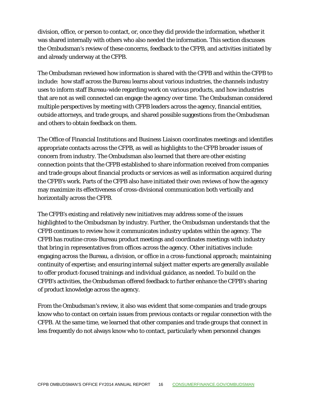division, office, or person to contact, or, once they did provide the information, whether it was shared internally with others who also needed the information. This section discusses the Ombudsman's review of these concerns, feedback to the CFPB, and activities initiated by and already underway at the CFPB.

The Ombudsman reviewed how information is shared with the CFPB and within the CFPB to include: how staff across the Bureau learns about various industries, the channels industry uses to inform staff Bureau-wide regarding work on various products, and how industries that are not as well connected can engage the agency over time. The Ombudsman considered multiple perspectives by meeting with CFPB leaders across the agency, financial entities, outside attorneys, and trade groups, and shared possible suggestions from the Ombudsman and others to obtain feedback on them.

The Office of Financial Institutions and Business Liaison coordinates meetings and identifies appropriate contacts across the CFPB, as well as highlights to the CFPB broader issues of concern from industry. The Ombudsman also learned that there are other existing connection points that the CFPB established to share information received from companies and trade groups about financial products or services as well as information acquired during the CFPB's work. Parts of the CFPB also have initiated their own reviews of how the agency may maximize its effectiveness of cross-divisional communication both vertically and horizontally across the CFPB.

The CFPB's existing and relatively new initiatives may address some of the issues highlighted to the Ombudsman by industry. Further, the Ombudsman understands that the CFPB continues to review how it communicates industry updates within the agency. The CFPB has routine cross-Bureau product meetings and coordinates meetings with industry that bring in representatives from offices across the agency. Other initiatives include: engaging across the Bureau, a division, or office in a cross-functional approach; maintaining continuity of expertise; and ensuring internal subject matter experts are generally available to offer product-focused trainings and individual guidance, as needed. To build on the CFPB's activities, the Ombudsman offered feedback to further enhance the CFPB's sharing of product knowledge across the agency.

From the Ombudsman's review, it also was evident that some companies and trade groups know who to contact on certain issues from previous contacts or regular connection with the CFPB. At the same time, we learned that other companies and trade groups that connect in less frequently do not always know who to contact, particularly when personnel changes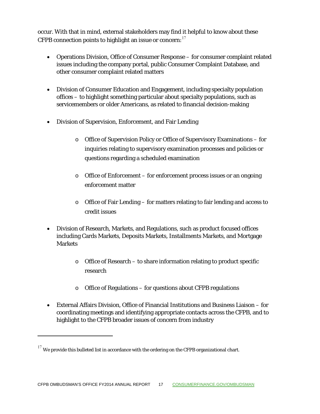occur. With that in mind, external stakeholders may find it helpful to know about these CFPB connection points to highlight an issue or concern:  $17$ 

- Operations Division, Office of Consumer Response for consumer complaint related issues including the company portal, public Consumer Complaint Database, and other consumer complaint related matters
- Division of Consumer Education and Engagement, including specialty population offices – to highlight something particular about specialty populations, such as servicemembers or older Americans, as related to financial decision-making
- Division of Supervision, Enforcement, and Fair Lending
	- o Office of Supervision Policy or Office of Supervisory Examinations for inquiries relating to supervisory examination processes and policies or questions regarding a scheduled examination
	- o Office of Enforcement for enforcement process issues or an ongoing enforcement matter
	- o Office of Fair Lending for matters relating to fair lending and access to credit issues
- Division of Research, Markets, and Regulations, such as product focused offices including Cards Markets, Deposits Markets, Installments Markets, and Mortgage **Markets** 
	- o Office of Research to share information relating to product specific research
	- $\circ$  Office of Regulations for questions about CFPB regulations
- External Affairs Division, Office of Financial Institutions and Business Liaison for coordinating meetings and identifying appropriate contacts across the CFPB, and to highlight to the CFPB broader issues of concern from industry

<span id="page-16-0"></span> $17$  We provide this bulleted list in accordance with the ordering on the CFPB organizational chart.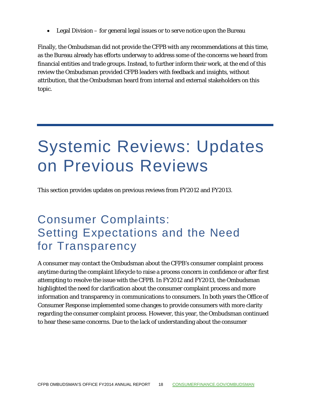• Legal Division – for general legal issues or to serve notice upon the Bureau

Finally, the Ombudsman did not provide the CFPB with any recommendations at this time, as the Bureau already has efforts underway to address some of the concerns we heard from financial entities and trade groups. Instead, to further inform their work, at the end of this review the Ombudsman provided CFPB leaders with feedback and insights, without attribution, that the Ombudsman heard from internal and external stakeholders on this topic.

## Systemic Reviews: Updates on Previous Reviews

This section provides updates on previous reviews from FY2012 and FY2013.

### Consumer Complaints: Setting Expectations and the Need for Transparency

A consumer may contact the Ombudsman about the CFPB's consumer complaint process anytime during the complaint lifecycle to raise a process concern in confidence or after first attempting to resolve the issue with the CFPB. In FY2012 and FY2013, the Ombudsman highlighted the need for clarification about the consumer complaint process and more information and transparency in communications to consumers. In both years the Office of Consumer Response implemented some changes to provide consumers with more clarity regarding the consumer complaint process. However, this year, the Ombudsman continued to hear these same concerns. Due to the lack of understanding about the consumer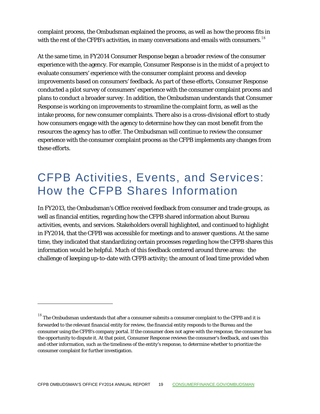complaint process, the Ombudsman explained the process, as well as how the process fits in with the rest of the CFPB's activities, in many conversations and emails with consumers.<sup>[18](#page-18-0)</sup>

At the same time, in FY2014 Consumer Response began a broader review of the consumer experience with the agency. For example, Consumer Response is in the midst of a project to evaluate consumers' experience with the consumer complaint process and develop improvements based on consumers' feedback. As part of these efforts, Consumer Response conducted a pilot survey of consumers' experience with the consumer complaint process and plans to conduct a broader survey. In addition, the Ombudsman understands that Consumer Response is working on improvements to streamline the complaint form, as well as the intake process, for new consumer complaints. There also is a cross-divisional effort to study how consumers engage with the agency to determine how they can most benefit from the resources the agency has to offer. The Ombudsman will continue to review the consumer experience with the consumer complaint process as the CFPB implements any changes from these efforts.

### CFPB Activities, Events, and Services: How the CFPB Shares Information

In FY2013, the Ombudsman's Office received feedback from consumer and trade groups, as well as financial entities, regarding how the CFPB shared information about Bureau activities, events, and services. Stakeholders overall highlighted, and continued to highlight in FY2014, that the CFPB was accessible for meetings and to answer questions. At the same time, they indicated that standardizing certain processes regarding how the CFPB shares this information would be helpful. Much of this feedback centered around three areas: the challenge of keeping up-to-date with CFPB activity; the amount of lead time provided when

1

<span id="page-18-0"></span> $^{18}$  The Ombudsman understands that after a consumer submits a consumer complaint to the CFPB and it is forwarded to the relevant financial entity for review, the financial entity responds to the Bureau and the consumer using the CFPB's company portal. If the consumer does not agree with the response, the consumer has the opportunity to dispute it. At that point, Consumer Response reviews the consumer's feedback, and uses this and other information, such as the timeliness of the entity's response, to determine whether to prioritize the consumer complaint for further investigation.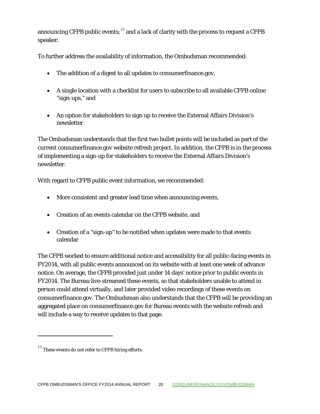announcing CFPB public events;<sup>[19](#page-19-0)</sup> and a lack of clarity with the process to request a CFPB speaker.

To further address the availability of information, the Ombudsman recommended:

- The addition of a digest to all updates to consumerfinance.gov,
- A single location with a checklist for users to subscribe to all available CFPB online "sign-ups," and
- An option for stakeholders to sign up to receive the External Affairs Division's newsletter

The Ombudsman understands that the first two bullet points will be included as part of the current consumerfinance.gov website refresh project. In addition, the CFPB is in the process of implementing a sign-up for stakeholders to receive the External Affairs Division's newsletter.

With regard to CFPB public event information, we recommended:

- More consistent and greater lead time when announcing events,
- Creation of an events calendar on the CFPB website, and
- Creation of a "sign-up" to be notified when updates were made to that events calendar

The CFPB worked to ensure additional notice and accessibility for all public-facing events in FY2014, with all public events announced on its website with at least one week of advance notice. On average, the CFPB provided just under 14 days' notice prior to public events in FY2014. The Bureau live-streamed these events, so that stakeholders unable to attend in person could attend virtually, and later provided video recordings of these events on consumerfinance.gov. The Ombudsman also understands that the CFPB will be providing an aggregated place on consumerfinance.gov for Bureau events with the website refresh and will include a way to receive updates to that page.

<span id="page-19-0"></span> $19$  These events do not refer to CFPB hiring efforts.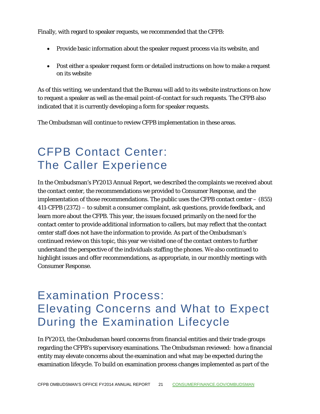Finally, with regard to speaker requests, we recommended that the CFPB:

- Provide basic information about the speaker request process via its website, and
- Post either a speaker request form or detailed instructions on how to make a request on its website

As of this writing, we understand that the Bureau will add to its website instructions on how to request a speaker as well as the email point-of-contact for such requests. The CFPB also indicated that it is currently developing a form for speaker requests.

The Ombudsman will continue to review CFPB implementation in these areas.

### CFPB Contact Center: The Caller Experience

In the Ombudsman's FY2013 Annual Report, we described the complaints we received about the contact center, the recommendations we provided to Consumer Response, and the implementation of those recommendations. The public uses the CFPB contact center  $-$  (855) 411-CFPB (2372) – to submit a consumer complaint, ask questions, provide feedback, and learn more about the CFPB. This year, the issues focused primarily on the need for the contact center to provide additional information to callers, but may reflect that the contact center staff does not have the information to provide. As part of the Ombudsman's continued review on this topic, this year we visited one of the contact centers to further understand the perspective of the individuals staffing the phones. We also continued to highlight issues and offer recommendations, as appropriate, in our monthly meetings with Consumer Response.

### Examination Process: Elevating Concerns and What to Expect During the Examination Lifecycle

In FY2013, the Ombudsman heard concerns from financial entities and their trade groups regarding the CFPB's supervisory examinations. The Ombudsman reviewed: how a financial entity may elevate concerns about the examination and what may be expected during the examination lifecycle. To build on examination process changes implemented as part of the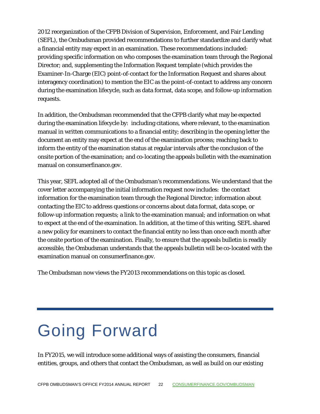2012 reorganization of the CFPB Division of Supervision, Enforcement, and Fair Lending (SEFL), the Ombudsman provided recommendations to further standardize and clarify what a financial entity may expect in an examination. These recommendations included: providing specific information on who composes the examination team through the Regional Director; and, supplementing the Information Request template (which provides the Examiner-In-Charge (EIC) point-of-contact for the Information Request and shares about interagency coordination) to mention the EIC as the point-of-contact to address any concern during the examination lifecycle, such as data format, data scope, and follow-up information requests.

In addition, the Ombudsman recommended that the CFPB clarify what may be expected during the examination lifecycle by: including citations, where relevant, to the examination manual in written communications to a financial entity; describing in the opening letter the document an entity may expect at the end of the examination process; reaching back to inform the entity of the examination status at regular intervals after the conclusion of the onsite portion of the examination; and co-locating the appeals bulletin with the examination manual on consumerfinance.gov.

This year, SEFL adopted all of the Ombudsman's recommendations. We understand that the cover letter accompanying the initial information request now includes: the contact information for the examination team through the Regional Director; information about contacting the EIC to address questions or concerns about data format, data scope, or follow-up information requests; a link to the examination manual; and information on what to expect at the end of the examination. In addition, at the time of this writing, SEFL shared a new policy for examiners to contact the financial entity no less than once each month after the onsite portion of the examination. Finally, to ensure that the appeals bulletin is readily accessible, the Ombudsman understands that the appeals bulletin will be co-located with the examination manual on consumerfinance.gov.

The Ombudsman now views the FY2013 recommendations on this topic as closed.

## Going Forward

In FY2015, we will introduce some additional ways of assisting the consumers, financial entities, groups, and others that contact the Ombudsman, as well as build on our existing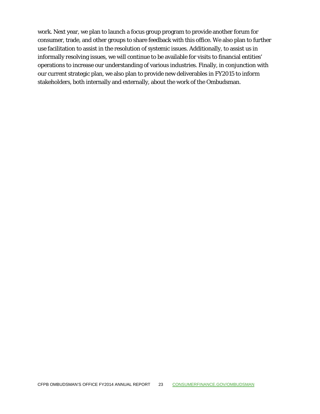work. Next year, we plan to launch a focus group program to provide another forum for consumer, trade, and other groups to share feedback with this office. We also plan to further use facilitation to assist in the resolution of systemic issues. Additionally, to assist us in informally resolving issues, we will continue to be available for visits to financial entities' operations to increase our understanding of various industries. Finally, in conjunction with our current strategic plan, we also plan to provide new deliverables in FY2015 to inform stakeholders, both internally and externally, about the work of the Ombudsman.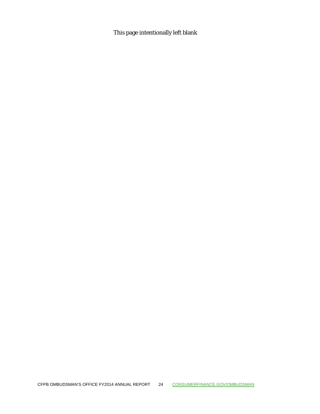This page intentionally left blank